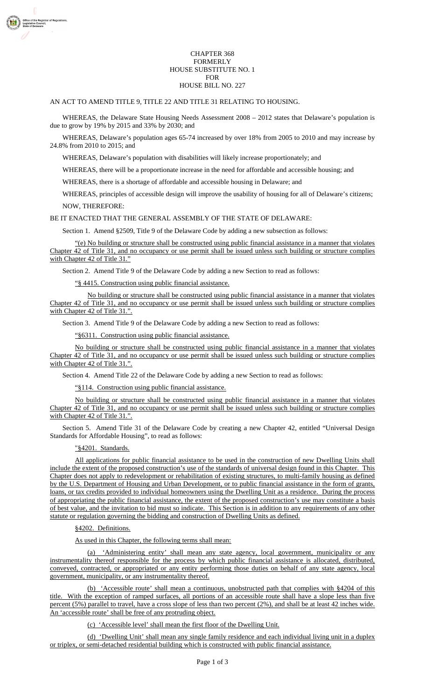### CHAPTER 368 FORMERLY HOUSE SUBSTITUTE NO. 1 FOR HOUSE BILL NO. 227

### AN ACT TO AMEND TITLE 9, TITLE 22 AND TITLE 31 RELATING TO HOUSING.

WHEREAS, the Delaware State Housing Needs Assessment 2008 – 2012 states that Delaware's population is due to grow by 19% by 2015 and 33% by 2030; and

WHEREAS, Delaware's population ages 65-74 increased by over 18% from 2005 to 2010 and may increase by 24.8% from 2010 to 2015; and

WHEREAS, Delaware's population with disabilities will likely increase proportionately; and

WHEREAS, there will be a proportionate increase in the need for affordable and accessible housing; and

WHEREAS, there is a shortage of affordable and accessible housing in Delaware; and

WHEREAS, principles of accessible design will improve the usability of housing for all of Delaware's citizens; NOW, THEREFORE:

BE IT ENACTED THAT THE GENERAL ASSEMBLY OF THE STATE OF DELAWARE:

Section 1. Amend §2509, Title 9 of the Delaware Code by adding a new subsection as follows:

"(e) No building or structure shall be constructed using public financial assistance in a manner that violates Chapter 42 of Title 31, and no occupancy or use permit shall be issued unless such building or structure complies with Chapter 42 of Title 31."

Section 2. Amend Title 9 of the Delaware Code by adding a new Section to read as follows:

"§ 4415. Construction using public financial assistance.

No building or structure shall be constructed using public financial assistance in a manner that violates Chapter 42 of Title 31, and no occupancy or use permit shall be issued unless such building or structure complies with Chapter 42 of Title 31.".

Section 3. Amend Title 9 of the Delaware Code by adding a new Section to read as follows:

"§6311. Construction using public financial assistance.

No building or structure shall be constructed using public financial assistance in a manner that violates Chapter 42 of Title 31, and no occupancy or use permit shall be issued unless such building or structure complies with Chapter 42 of Title 31.".

Section 4. Amend Title 22 of the Delaware Code by adding a new Section to read as follows:

"§114. Construction using public financial assistance.

No building or structure shall be constructed using public financial assistance in a manner that violates Chapter 42 of Title 31, and no occupancy or use permit shall be issued unless such building or structure complies with Chapter 42 of Title 31.".

Section 5. Amend Title 31 of the Delaware Code by creating a new Chapter 42, entitled "Universal Design Standards for Affordable Housing", to read as follows:

## "§4201. Standards.

All applications for public financial assistance to be used in the construction of new Dwelling Units shall include the extent of the proposed construction's use of the standards of universal design found in this Chapter. This Chapter does not apply to redevelopment or rehabilitation of existing structures, to multi-family housing as defined by the U.S. Department of Housing and Urban Development, or to public financial assistance in the form of grants, loans, or tax credits provided to individual homeowners using the Dwelling Unit as a residence. During the process of appropriating the public financial assistance, the extent of the proposed construction's use may constitute a basis of best value, and the invitation to bid must so indicate. This Section is in addition to any requirements of any other statute or regulation governing the bidding and construction of Dwelling Units as defined.

### §4202. Definitions.

As used in this Chapter, the following terms shall mean:

(a) 'Administering entity' shall mean any state agency, local government, municipality or any instrumentality thereof responsible for the process by which public financial assistance is allocated, distributed, conveyed, contracted, or appropriated or any entity performing those duties on behalf of any state agency, local government, municipality, or any instrumentality thereof.

(b) 'Accessible route' shall mean a continuous, unobstructed path that complies with §4204 of this title. With the exception of ramped surfaces, all portions of an accessible route shall have a slope less than five percent (5%) parallel to travel, have a cross slope of less than two percent (2%), and shall be at least 42 inches wide. An 'accessible route' shall be free of any protruding object.

(c) 'Accessible level' shall mean the first floor of the Dwelling Unit.

(d) 'Dwelling Unit' shall mean any single family residence and each individual living unit in a duplex or triplex, or semi-detached residential building which is constructed with public financial assistance.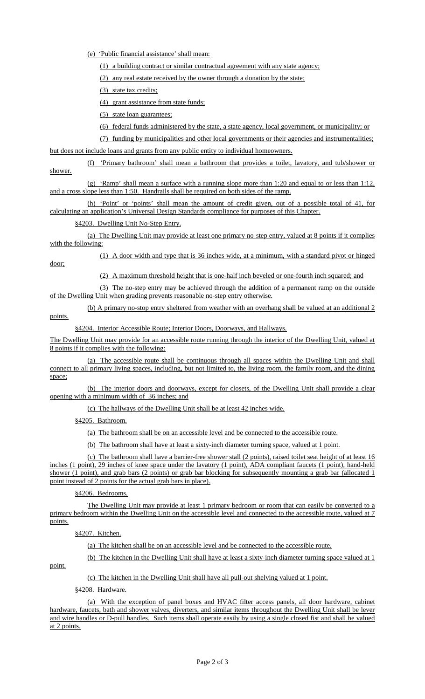(e) 'Public financial assistance' shall mean:

(1) a building contract or similar contractual agreement with any state agency;

(2) any real estate received by the owner through a donation by the state;

(3) state tax credits;

(4) grant assistance from state funds;

(5) state loan guarantees;

(6) federal funds administered by the state, a state agency, local government, or municipality; or

(7) funding by municipalities and other local governments or their agencies and instrumentalities;

but does not include loans and grants from any public entity to individual homeowners.

(f) 'Primary bathroom' shall mean a bathroom that provides a toilet, lavatory, and tub/shower or shower.

(g) 'Ramp' shall mean a surface with a running slope more than 1:20 and equal to or less than 1:12, and a cross slope less than 1:50. Handrails shall be required on both sides of the ramp.

(h) 'Point' or 'points' shall mean the amount of credit given, out of a possible total of 41, for calculating an application's Universal Design Standards compliance for purposes of this Chapter.

§4203. Dwelling Unit No-Step Entry.

(a) The Dwelling Unit may provide at least one primary no-step entry, valued at 8 points if it complies with the following:

(1) A door width and type that is 36 inches wide, at a minimum, with a standard pivot or hinged

(2) A maximum threshold height that is one-half inch beveled or one-fourth inch squared; and

(3) The no-step entry may be achieved through the addition of a permanent ramp on the outside of the Dwelling Unit when grading prevents reasonable no-step entry otherwise.

(b) A primary no-stop entry sheltered from weather with an overhang shall be valued at an additional 2 points.

§4204. Interior Accessible Route; Interior Doors, Doorways, and Hallways.

The Dwelling Unit may provide for an accessible route running through the interior of the Dwelling Unit, valued at 8 points if it complies with the following:

(a) The accessible route shall be continuous through all spaces within the Dwelling Unit and shall connect to all primary living spaces, including, but not limited to, the living room, the family room, and the dining space;

(b) The interior doors and doorways, except for closets, of the Dwelling Unit shall provide a clear opening with a minimum width of 36 inches; and

(c) The hallways of the Dwelling Unit shall be at least 42 inches wide.

§4205. Bathroom.

(a) The bathroom shall be on an accessible level and be connected to the accessible route.

(b) The bathroom shall have at least a sixty-inch diameter turning space, valued at 1 point.

(c) The bathroom shall have a barrier-free shower stall (2 points), raised toilet seat height of at least 16 inches (1 point), 29 inches of knee space under the lavatory (1 point), ADA compliant faucets (1 point), hand-held shower (1 point), and grab bars (2 points) or grab bar blocking for subsequently mounting a grab bar (allocated 1 point instead of 2 points for the actual grab bars in place).

§4206. Bedrooms.

The Dwelling Unit may provide at least 1 primary bedroom or room that can easily be converted to a primary bedroom within the Dwelling Unit on the accessible level and connected to the accessible route, valued at 7 points.

§4207. Kitchen.

(a) The kitchen shall be on an accessible level and be connected to the accessible route.

(b) The kitchen in the Dwelling Unit shall have at least a sixty-inch diameter turning space valued at 1

point.

door;

(c) The kitchen in the Dwelling Unit shall have all pull-out shelving valued at 1 point.

§4208. Hardware.

(a) With the exception of panel boxes and HVAC filter access panels, all door hardware, cabinet hardware, faucets, bath and shower valves, diverters, and similar items throughout the Dwelling Unit shall be lever and wire handles or D-pull handles. Such items shall operate easily by using a single closed fist and shall be valued at 2 points.